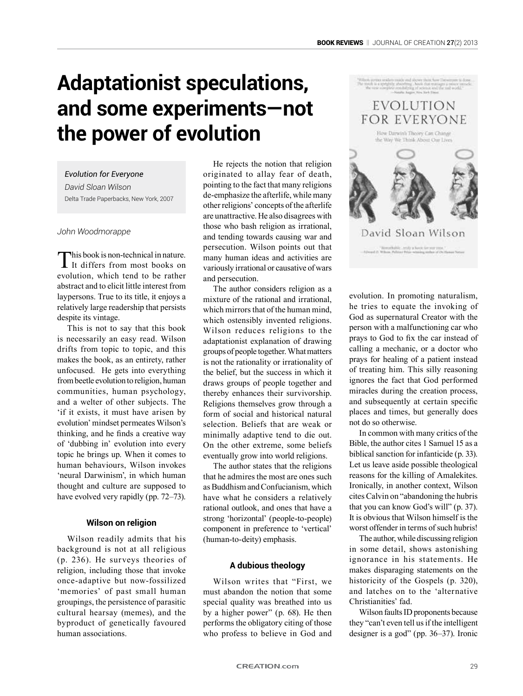# **Adaptationist speculations, and some experiments—not the power of evolution**

#### *Evolution for Everyone*

*David Sloan Wilson* Delta Trade Paperbacks, New York, 2007

#### *John Woodmorappe*

This book is non-technical in nature. It differs from most books on evolution, which tend to be rather abstract and to elicit little interest from laypersons. True to its title, it enjoys a relatively large readership that persists despite its vintage.

This is not to say that this book is necessarily an easy read. Wilson drifts from topic to topic, and this makes the book, as an entirety, rather unfocused. He gets into everything from beetle evolution to religion, human communities, human psychology, and a welter of other subjects. The 'if it exists, it must have arisen by evolution' mindset permeates Wilson's thinking, and he finds a creative way of 'dubbing in' evolution into every topic he brings up. When it comes to human behaviours, Wilson invokes 'neural Darwinism', in which human thought and culture are supposed to have evolved very rapidly (pp. 72–73).

## **Wilson on religion**

Wilson readily admits that his background is not at all religious (p. 236). He surveys theories of religion, including those that invoke once-adaptive but now-fossilized 'memories' of past small human groupings, the persistence of parasitic cultural hearsay (memes), and the byproduct of genetically favoured human associations.

He rejects the notion that religion originated to allay fear of death, pointing to the fact that many religions de-emphasize the afterlife, while many other religions' concepts of the afterlife are unattractive. He also disagrees with those who bash religion as irrational, and tending towards causing war and persecution. Wilson points out that many human ideas and activities are variously irrational or causative of wars and persecution.

The author considers religion as a mixture of the rational and irrational, which mirrors that of the human mind, which ostensibly invented religions. Wilson reduces religions to the adaptationist explanation of drawing groups of people together. What matters is not the rationality or irrationality of the belief, but the success in which it draws groups of people together and thereby enhances their survivorship. Religions themselves grow through a form of social and historical natural selection. Beliefs that are weak or minimally adaptive tend to die out. On the other extreme, some beliefs eventually grow into world religions.

The author states that the religions that he admires the most are ones such as Buddhism and Confucianism, which have what he considers a relatively rational outlook, and ones that have a strong 'horizontal' (people-to-people) component in preference to 'vertical' (human-to-deity) emphasis.

#### **A dubious theology**

Wilson writes that "First, we must abandon the notion that some special quality was breathed into us by a higher power" (p. 68). He then performs the obligatory citing of those who profess to believe in God and



evolution. In promoting naturalism, he tries to equate the invoking of God as supernatural Creator with the person with a malfunctioning car who prays to God to fix the car instead of calling a mechanic, or a doctor who prays for healing of a patient instead of treating him. This silly reasoning ignores the fact that God performed miracles during the creation process, and subsequently at certain specific places and times, but generally does not do so otherwise.

In common with many critics of the Bible, the author cites 1 Samuel 15 as a biblical sanction for infanticide (p. 33). Let us leave aside possible theological reasons for the killing of Amalekites. Ironically, in another context, Wilson cites Calvin on "abandoning the hubris that you can know God's will" (p. 37). It is obvious that Wilson himself is the worst offender in terms of such hubris!

The author, while discussing religion in some detail, shows astonishing ignorance in his statements. He makes disparaging statements on the historicity of the Gospels (p. 320), and latches on to the 'alternative Christianities' fad.

Wilson faults ID proponents because they "can't even tell us if the intelligent designer is a god" (pp. 36–37). Ironic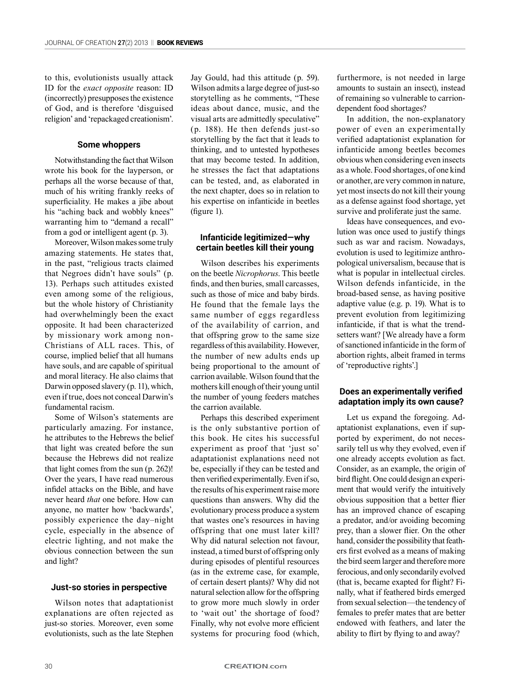to this, evolutionists usually attack ID for the *exact opposite* reason: ID (incorrectly) presupposes the existence of God, and is therefore 'disguised religion' and 'repackaged creationism'.

#### **Some whoppers**

Notwithstanding the fact that Wilson wrote his book for the layperson, or perhaps all the worse because of that, much of his writing frankly reeks of superficiality. He makes a jibe about his "aching back and wobbly knees" warranting him to "demand a recall" from a god or intelligent agent (p. 3).

Moreover, Wilson makes some truly amazing statements. He states that, in the past, "religious tracts claimed that Negroes didn't have souls" (p. 13). Perhaps such attitudes existed even among some of the religious, but the whole history of Christianity had overwhelmingly been the exact opposite. It had been characterized by missionary work among non-Christians of ALL races. This, of course, implied belief that all humans have souls, and are capable of spiritual and moral literacy. He also claims that Darwin opposed slavery (p. 11), which, even if true, does not conceal Darwin's fundamental racism.

Some of Wilson's statements are particularly amazing. For instance, he attributes to the Hebrews the belief that light was created before the sun because the Hebrews did not realize that light comes from the sun (p. 262)! Over the years, I have read numerous infidel attacks on the Bible, and have never heard *that* one before. How can anyone, no matter how 'backwards', possibly experience the day–night cycle, especially in the absence of electric lighting, and not make the obvious connection between the sun and light?

#### **Just-so stories in perspective**

Wilson notes that adaptationist explanations are often rejected as just-so stories. Moreover, even some evolutionists, such as the late Stephen

Jay Gould, had this attitude (p. 59). Wilson admits a large degree of just-so storytelling as he comments, "These ideas about dance, music, and the visual arts are admittedly speculative" (p. 188). He then defends just-so storytelling by the fact that it leads to thinking, and to untested hypotheses that may become tested. In addition, he stresses the fact that adaptations can be tested, and, as elaborated in the next chapter, does so in relation to his expertise on infanticide in beetles (figure 1).

## **Infanticide legitimized—why certain beetles kill their young**

Wilson describes his experiments on the beetle *Nicrophorus*. This beetle finds, and then buries, small carcasses, such as those of mice and baby birds. He found that the female lays the same number of eggs regardless of the availability of carrion, and that offspring grow to the same size regardless of this availability. However, the number of new adults ends up being proportional to the amount of carrion available. Wilson found that the mothers kill enough of their young until the number of young feeders matches the carrion available.

Perhaps this described experiment is the only substantive portion of this book. He cites his successful experiment as proof that 'just so' adaptationist explanations need not be, especially if they can be tested and then verified experimentally. Even if so, the results of his experiment raise more questions than answers. Why did the evolutionary process produce a system that wastes one's resources in having offspring that one must later kill? Why did natural selection not favour, instead, a timed burst of offspring only during episodes of plentiful resources (as in the extreme case, for example, of certain desert plants)? Why did not natural selection allow for the offspring to grow more much slowly in order to 'wait out' the shortage of food? Finally, why not evolve more efficient systems for procuring food (which, furthermore, is not needed in large amounts to sustain an insect), instead of remaining so vulnerable to carriondependent food shortages?

In addition, the non-explanatory power of even an experimentally verified adaptationist explanation for infanticide among beetles becomes obvious when considering even insects as a whole. Food shortages, of one kind or another, are very common in nature, yet most insects do not kill their young as a defense against food shortage, yet survive and proliferate just the same.

Ideas have consequences, and evolution was once used to justify things such as war and racism. Nowadays, evolution is used to legitimize anthropological universalism, because that is what is popular in intellectual circles. Wilson defends infanticide, in the broad-based sense, as having positive adaptive value (e.g. p. 19). What is to prevent evolution from legitimizing infanticide, if that is what the trendsetters want? [We already have a form of sanctioned infanticide in the form of abortion rights, albeit framed in terms of 'reproductive rights'.]

#### **Does an experimentally verified adaptation imply its own cause?**

Let us expand the foregoing. Adaptationist explanations, even if supported by experiment, do not necessarily tell us why they evolved, even if one already accepts evolution as fact. Consider, as an example, the origin of bird flight. One could design an experiment that would verify the intuitively obvious supposition that a better flier has an improved chance of escaping a predator, and/or avoiding becoming prey, than a slower flier. On the other hand, consider the possibility that feathers first evolved as a means of making the bird seem larger and therefore more ferocious, and only secondarily evolved (that is, became exapted for flight? Finally, what if feathered birds emerged from sexual selection—the tendency of females to prefer mates that are better endowed with feathers, and later the ability to flirt by flying to and away?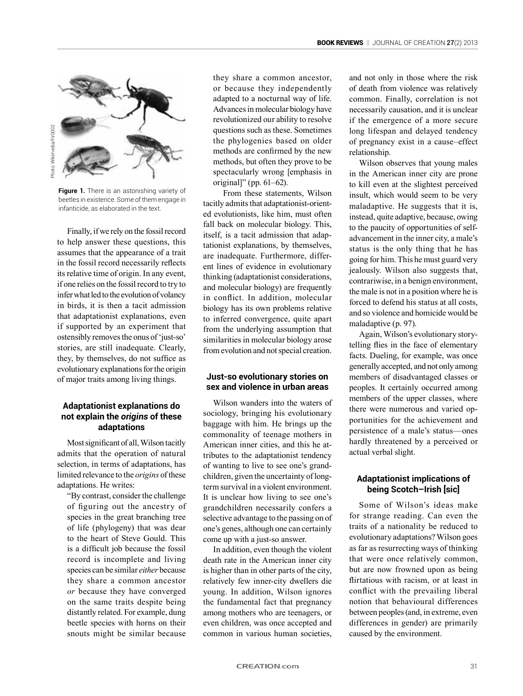

**Figure 1.** There is an astonishing variety of beetles in existence. Some of them engage in infanticide, as elaborated in the text.

Finally, if we rely on the fossil record to help answer these questions, this assumes that the appearance of a trait in the fossil record necessarily reflects its relative time of origin. In any event, if one relies on the fossil record to try to infer what led to the evolution of volancy in birds, it is then a tacit admission that adaptationist explanations, even if supported by an experiment that ostensibly removes the onus of 'just-so' stories, are still inadequate. Clearly, they, by themselves, do not suffice as evolutionary explanations for the origin of major traits among living things.

# **Adaptationist explanations do not explain the** *origins* **of these adaptations**

Most significant of all, Wilson tacitly admits that the operation of natural selection, in terms of adaptations, has limited relevance to the *origins* of these adaptations. He writes:

"By contrast, consider the challenge of figuring out the ancestry of species in the great branching tree of life (phylogeny) that was dear to the heart of Steve Gould. This is a difficult job because the fossil record is incomplete and living species can be similar *either* because they share a common ancestor *or* because they have converged on the same traits despite being distantly related. For example, dung beetle species with horns on their snouts might be similar because

they share a common ancestor, or because they independently adapted to a nocturnal way of life. Advances in molecular biology have revolutionized our ability to resolve questions such as these. Sometimes the phylogenies based on older methods are confirmed by the new methods, but often they prove to be spectacularly wrong [emphasis in original]" (pp. 61–62).

From these statements, Wilson tacitly admits that adaptationist-oriented evolutionists, like him, must often fall back on molecular biology. This, itself, is a tacit admission that adaptationist explanations, by themselves, are inadequate. Furthermore, different lines of evidence in evolutionary thinking (adaptationist considerations, and molecular biology) are frequently in conflict. In addition, molecular biology has its own problems relative to inferred convergence, quite apart from the underlying assumption that similarities in molecular biology arose from evolution and not special creation.

## **Just-so evolutionary stories on sex and violence in urban areas**

Wilson wanders into the waters of sociology, bringing his evolutionary baggage with him. He brings up the commonality of teenage mothers in American inner cities, and this he attributes to the adaptationist tendency of wanting to live to see one's grandchildren, given the uncertainty of longterm survival in a violent environment. It is unclear how living to see one's grandchildren necessarily confers a selective advantage to the passing on of one's genes, although one can certainly come up with a just-so answer.

In addition, even though the violent death rate in the American inner city is higher than in other parts of the city, relatively few inner-city dwellers die young. In addition, Wilson ignores the fundamental fact that pregnancy among mothers who are teenagers, or even children, was once accepted and common in various human societies, and not only in those where the risk of death from violence was relatively common. Finally, correlation is not necessarily causation, and it is unclear if the emergence of a more secure long lifespan and delayed tendency of pregnancy exist in a cause–effect relationship.

Wilson observes that young males in the American inner city are prone to kill even at the slightest perceived insult, which would seem to be very maladaptive. He suggests that it is, instead, quite adaptive, because, owing to the paucity of opportunities of selfadvancement in the inner city, a male's status is the only thing that he has going for him. This he must guard very jealously. Wilson also suggests that, contrariwise, in a benign environment, the male is not in a position where he is forced to defend his status at all costs, and so violence and homicide would be maladaptive (p. 97).

Again, Wilson's evolutionary storytelling flies in the face of elementary facts. Dueling, for example, was once generally accepted, and not only among members of disadvantaged classes or peoples. It certainly occurred among members of the upper classes, where there were numerous and varied opportunities for the achievement and persistence of a male's status—ones hardly threatened by a perceived or actual verbal slight.

# **Adaptationist implications of being Scotch–Irish [sic]**

Some of Wilson's ideas make for strange reading. Can even the traits of a nationality be reduced to evolutionary adaptations? Wilson goes as far as resurrecting ways of thinking that were once relatively common, but are now frowned upon as being flirtatious with racism, or at least in conflict with the prevailing liberal notion that behavioural differences between peoples (and, in extreme, even differences in gender) are primarily caused by the environment.